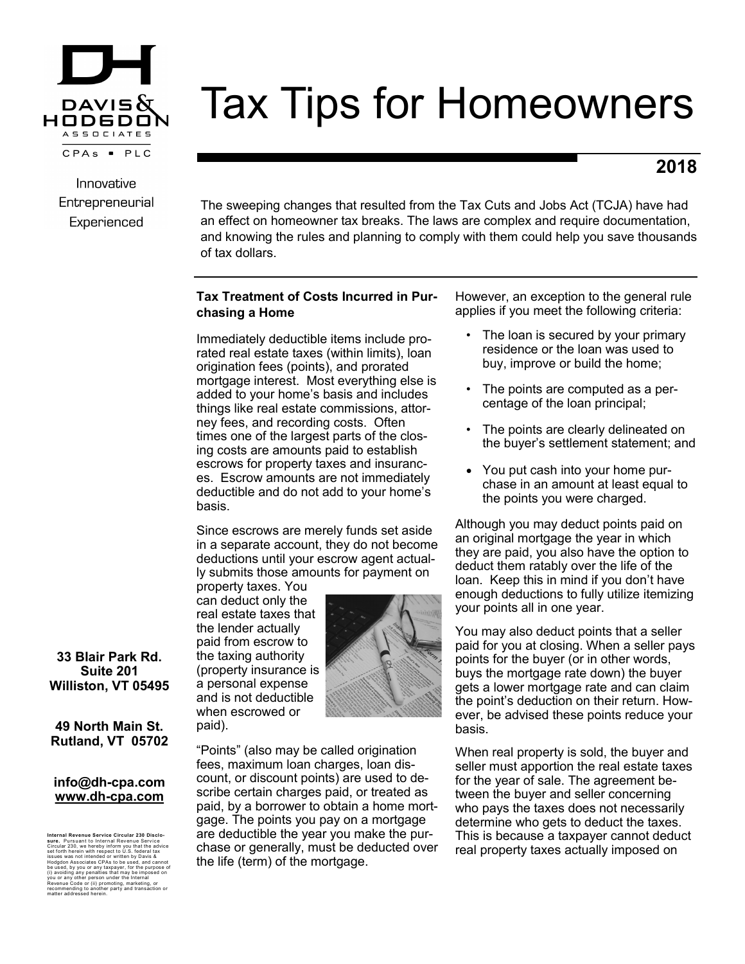

# Tax Tips for Homeowners

# **2018**

Innovative Entrepreneurial Experienced

The sweeping changes that resulted from the Tax Cuts and Jobs Act (TCJA) have had an effect on homeowner tax breaks. The laws are complex and require documentation, and knowing the rules and planning to comply with them could help you save thousands of tax dollars.

# **Tax Treatment of Costs Incurred in Purchasing a Home**

Immediately deductible items include prorated real estate taxes (within limits), loan origination fees (points), and prorated mortgage interest. Most everything else is added to your home's basis and includes things like real estate commissions, attorney fees, and recording costs. Often times one of the largest parts of the closing costs are amounts paid to establish escrows for property taxes and insurances. Escrow amounts are not immediately deductible and do not add to your home's basis.

Since escrows are merely funds set aside in a separate account, they do not become deductions until your escrow agent actually submits those amounts for payment on

property taxes. You can deduct only the real estate taxes that the lender actually paid from escrow to the taxing authority (property insurance is a personal expense and is not deductible when escrowed or paid).



"Points" (also may be called origination fees, maximum loan charges, loan discount, or discount points) are used to describe certain charges paid, or treated as paid, by a borrower to obtain a home mortgage. The points you pay on a mortgage are deductible the year you make the purchase or generally, must be deducted over the life (term) of the mortgage.

However, an exception to the general rule applies if you meet the following criteria:

- The loan is secured by your primary residence or the loan was used to buy, improve or build the home;
- The points are computed as a percentage of the loan principal;
- The points are clearly delineated on the buyer's settlement statement; and
- You put cash into your home purchase in an amount at least equal to the points you were charged.

Although you may deduct points paid on an original mortgage the year in which they are paid, you also have the option to deduct them ratably over the life of the loan. Keep this in mind if you don't have enough deductions to fully utilize itemizing your points all in one year.

You may also deduct points that a seller paid for you at closing. When a seller pays points for the buyer (or in other words, buys the mortgage rate down) the buyer gets a lower mortgage rate and can claim the point's deduction on their return. However, be advised these points reduce your basis.

When real property is sold, the buyer and seller must apportion the real estate taxes for the year of sale. The agreement between the buyer and seller concerning who pays the taxes does not necessarily determine who gets to deduct the taxes. This is because a taxpayer cannot deduct real property taxes actually imposed on

**33 Blair Park Rd. Suite 201 Williston, VT 05495**

**49 North Main St. Rutland, VT 05702**

#### **info@dh-cpa.com www.dh-cpa.com**

Internal Revenue Service Cricular 230 Disclo-<br>stree, Pursuant to Internal Revenue Service<br>stree, Pursuant to Internal Revenue Service<br>issues was not intended or written by Oavia &<br>issues was not intended or written by Oavi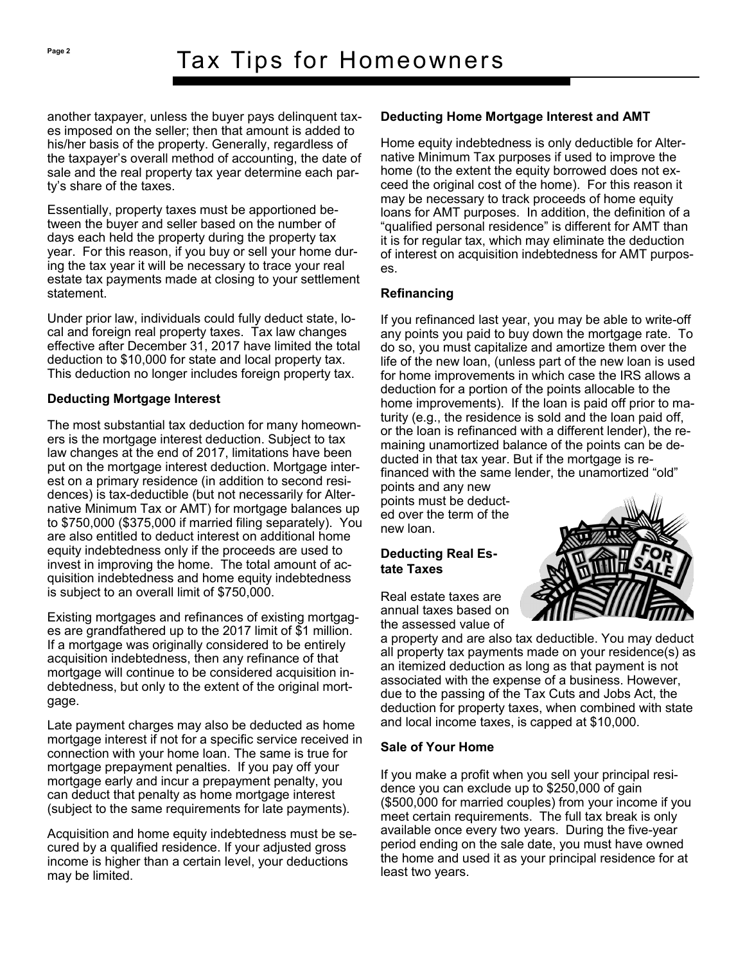another taxpayer, unless the buyer pays delinquent taxes imposed on the seller; then that amount is added to his/her basis of the property. Generally, regardless of the taxpayer's overall method of accounting, the date of sale and the real property tax year determine each party's share of the taxes.

Essentially, property taxes must be apportioned between the buyer and seller based on the number of days each held the property during the property tax year. For this reason, if you buy or sell your home during the tax year it will be necessary to trace your real estate tax payments made at closing to your settlement statement.

Under prior law, individuals could fully deduct state, local and foreign real property taxes. Tax law changes effective after December 31, 2017 have limited the total deduction to \$10,000 for state and local property tax. This deduction no longer includes foreign property tax.

# **Deducting Mortgage Interest**

The most substantial tax deduction for many homeowners is the mortgage interest deduction. Subject to tax law changes at the end of 2017, limitations have been put on the mortgage interest deduction. Mortgage interest on a primary residence (in addition to second residences) is tax-deductible (but not necessarily for Alternative Minimum Tax or AMT) for mortgage balances up to \$750,000 (\$375,000 if married filing separately). You are also entitled to deduct interest on additional home equity indebtedness only if the proceeds are used to invest in improving the home. The total amount of acquisition indebtedness and home equity indebtedness is subject to an overall limit of \$750,000.

Existing mortgages and refinances of existing mortgages are grandfathered up to the 2017 limit of \$1 million. If a mortgage was originally considered to be entirely acquisition indebtedness, then any refinance of that mortgage will continue to be considered acquisition indebtedness, but only to the extent of the original mortgage.

Late payment charges may also be deducted as home mortgage interest if not for a specific service received in connection with your home loan. The same is true for mortgage prepayment penalties. If you pay off your mortgage early and incur a prepayment penalty, you can deduct that penalty as home mortgage interest (subject to the same requirements for late payments).

Acquisition and home equity indebtedness must be secured by a qualified residence. If your adjusted gross income is higher than a certain level, your deductions may be limited.

# **Deducting Home Mortgage Interest and AMT**

Home equity indebtedness is only deductible for Alternative Minimum Tax purposes if used to improve the home (to the extent the equity borrowed does not exceed the original cost of the home). For this reason it may be necessary to track proceeds of home equity loans for AMT purposes. In addition, the definition of a "qualified personal residence" is different for AMT than it is for regular tax, which may eliminate the deduction of interest on acquisition indebtedness for AMT purposes.

# **Refinancing**

If you refinanced last year, you may be able to write-off any points you paid to buy down the mortgage rate. To do so, you must capitalize and amortize them over the life of the new loan, (unless part of the new loan is used for home improvements in which case the IRS allows a deduction for a portion of the points allocable to the home improvements). If the loan is paid off prior to maturity (e.g., the residence is sold and the loan paid off, or the loan is refinanced with a different lender), the remaining unamortized balance of the points can be deducted in that tax year. But if the mortgage is refinanced with the same lender, the unamortized "old"

points and any new points must be deducted over the term of the new loan.

# **Deducting Real Estate Taxes**

Real estate taxes are annual taxes based on the assessed value of

a property and are also tax deductible. You may deduct all property tax payments made on your residence(s) as an itemized deduction as long as that payment is not associated with the expense of a business. However, due to the passing of the Tax Cuts and Jobs Act, the deduction for property taxes, when combined with state and local income taxes, is capped at \$10,000.

# **Sale of Your Home**

If you make a profit when you sell your principal residence you can exclude up to \$250,000 of gain (\$500,000 for married couples) from your income if you meet certain requirements. The full tax break is only available once every two years. During the five-year period ending on the sale date, you must have owned the home and used it as your principal residence for at least two years.

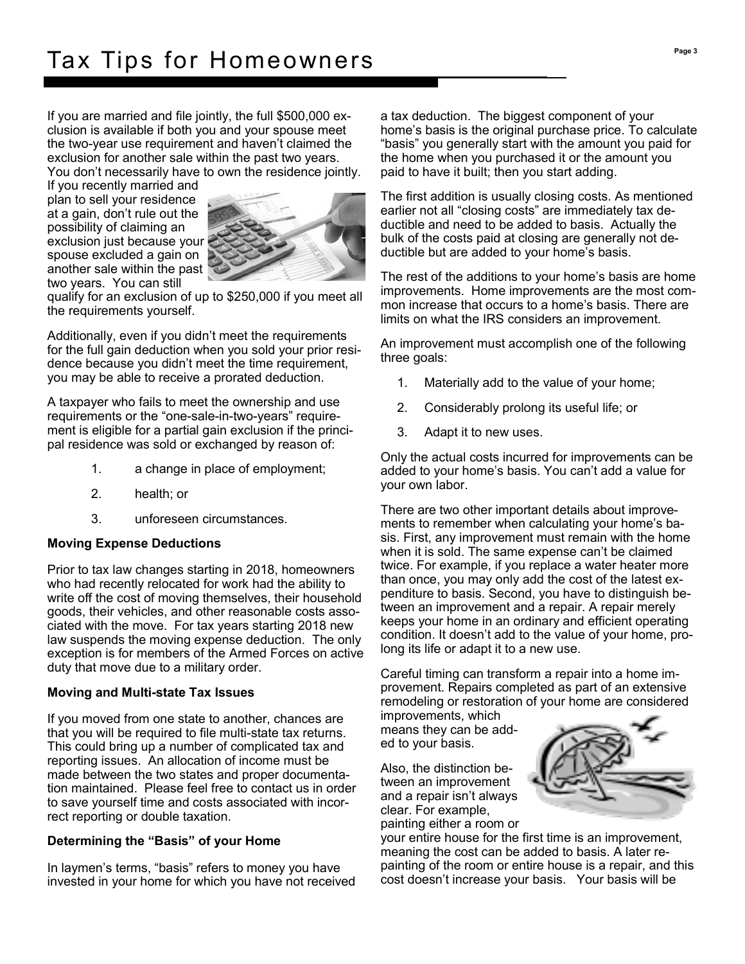If you are married and file jointly, the full \$500,000 exclusion is available if both you and your spouse meet the two-year use requirement and haven't claimed the exclusion for another sale within the past two years. You don't necessarily have to own the residence jointly.

If you recently married and plan to sell your residence at a gain, don't rule out the possibility of claiming an exclusion just because your spouse excluded a gain on another sale within the past two years. You can still



qualify for an exclusion of up to \$250,000 if you meet all the requirements yourself.

Additionally, even if you didn't meet the requirements for the full gain deduction when you sold your prior residence because you didn't meet the time requirement, you may be able to receive a prorated deduction.

A taxpayer who fails to meet the ownership and use requirements or the "one-sale-in-two-years" requirement is eligible for a partial gain exclusion if the principal residence was sold or exchanged by reason of:

- 1. a change in place of employment;
- 2. health; or
- 3. unforeseen circumstances.

#### **Moving Expense Deductions**

Prior to tax law changes starting in 2018, homeowners who had recently relocated for work had the ability to write off the cost of moving themselves, their household goods, their vehicles, and other reasonable costs associated with the move. For tax years starting 2018 new law suspends the moving expense deduction. The only exception is for members of the Armed Forces on active duty that move due to a military order.

# **Moving and Multi-state Tax Issues**

If you moved from one state to another, chances are that you will be required to file multi-state tax returns. This could bring up a number of complicated tax and reporting issues. An allocation of income must be made between the two states and proper documentation maintained. Please feel free to contact us in order to save yourself time and costs associated with incorrect reporting or double taxation.

# **Determining the "Basis" of your Home**

In laymen's terms, "basis" refers to money you have invested in your home for which you have not received a tax deduction. The biggest component of your home's basis is the original purchase price. To calculate "basis" you generally start with the amount you paid for the home when you purchased it or the amount you paid to have it built; then you start adding.

The first addition is usually closing costs. As mentioned earlier not all "closing costs" are immediately tax deductible and need to be added to basis. Actually the bulk of the costs paid at closing are generally not deductible but are added to your home's basis.

The rest of the additions to your home's basis are home improvements. Home improvements are the most common increase that occurs to a home's basis. There are limits on what the IRS considers an improvement.

An improvement must accomplish one of the following three goals:

- 1. Materially add to the value of your home;
- 2. Considerably prolong its useful life; or
- 3. Adapt it to new uses.

Only the actual costs incurred for improvements can be added to your home's basis. You can't add a value for your own labor.

There are two other important details about improvements to remember when calculating your home's basis. First, any improvement must remain with the home when it is sold. The same expense can't be claimed twice. For example, if you replace a water heater more than once, you may only add the cost of the latest expenditure to basis. Second, you have to distinguish between an improvement and a repair. A repair merely keeps your home in an ordinary and efficient operating condition. It doesn't add to the value of your home, prolong its life or adapt it to a new use.

Careful timing can transform a repair into a home improvement. Repairs completed as part of an extensive remodeling or restoration of your home are considered

improvements, which means they can be added to your basis.

Also, the distinction between an improvement and a repair isn't always clear. For example,

painting either a room or



your entire house for the first time is an improvement, meaning the cost can be added to basis. A later repainting of the room or entire house is a repair, and this cost doesn't increase your basis. Your basis will be